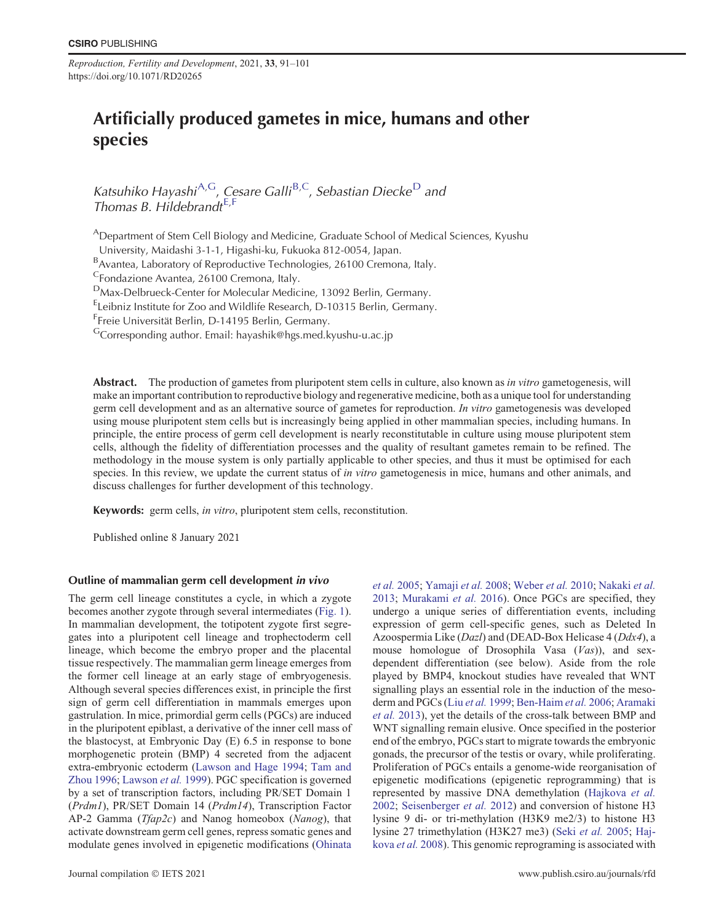*Reproduction, Fertility and Development*, 2021, **33**, 91–101 https://doi.org/10.1071/RD20265

# Artificially produced gametes in mice, humans and other species

Katsuhiko Hayashi<sup>A,G</sup>, Cesare Galli<sup>B,C</sup>, Sebastian Diecke<sup>D</sup> and Thomas B. Hildebrandt $E, F$ 

<sup>A</sup>Department of Stem Cell Biology and Medicine, Graduate School of Medical Sciences, Kyushu

University, Maidashi 3-1-1, Higashi-ku, Fukuoka 812-0054, Japan.

<sup>B</sup>Avantea, Laboratory of Reproductive Technologies, 26100 Cremona, Italy.

<sup>C</sup>Fondazione Avantea, 26100 Cremona, Italy.

<sup>D</sup>Max-Delbrueck-Center for Molecular Medicine, 13092 Berlin, Germany.

<sup>E</sup>Leibniz Institute for Zoo and Wildlife Research, D-10315 Berlin, Germany.

<sup>F</sup>Freie Universität Berlin, D-14195 Berlin, Germany.

<sup>G</sup>Corresponding author. Email: hayashik@hgs.med.kyushu-u.ac.jp

Abstract. The production of gametes from pluripotent stem cells in culture, also known as *in vitro* gametogenesis, will make an important contribution to reproductive biology and regenerative medicine, both as a unique tool for understanding germ cell development and as an alternative source of gametes for reproduction. *In vitro* gametogenesis was developed using mouse pluripotent stem cells but is increasingly being applied in other mammalian species, including humans. In principle, the entire process of germ cell development is nearly reconstitutable in culture using mouse pluripotent stem cells, although the fidelity of differentiation processes and the quality of resultant gametes remain to be refined. The methodology in the mouse system is only partially applicable to other species, and thus it must be optimised for each species. In this review, we update the current status of *in vitro* gametogenesis in mice, humans and other animals, and discuss challenges for further development of this technology.

Keywords: germ cells, *in vitro*, pluripotent stem cells, reconstitution.

Published online 8 January 2021

# Outline of mammalian germ cell development in vivo

The germ cell lineage constitutes a cycle, in which a zygote becomes another zygote through several intermediates (Fig. 1). In mammalian development, the totipotent zygote first segregates into a pluripotent cell lineage and trophectoderm cell lineage, which become the embryo proper and the placental tissue respectively. The mammalian germ lineage emerges from the former cell lineage at an early stage of embryogenesis. Although several species differences exist, in principle the first sign of germ cell differentiation in mammals emerges upon gastrulation. In mice, primordial germ cells (PGCs) are induced in the pluripotent epiblast, a derivative of the inner cell mass of the blastocyst, at Embryonic Day (E) 6.5 in response to bone morphogenetic protein (BMP) 4 secreted from the adjacent extra-embryonic ectoderm (Lawson and Hage 1994; Tam and Zhou 1996; Lawson *et al.* 1999). PGC specification is governed by a set of transcription factors, including PR/SET Domain 1 (*Prdm1*), PR/SET Domain 14 (*Prdm14*), Transcription Factor AP-2 Gamma (*Tfap2c*) and Nanog homeobox (*Nanog*), that activate downstream germ cell genes, repress somatic genes and modulate genes involved in epigenetic modifications (Ohinata *et al.* 2005; Yamaji *et al.* 2008; Weber *et al.* 2010; Nakaki *et al.* 2013; Murakami *et al.* 2016). Once PGCs are specified, they undergo a unique series of differentiation events, including expression of germ cell-specific genes, such as Deleted In Azoospermia Like (*Dazl*) and (DEAD-Box Helicase 4 (*Ddx4*), a mouse homologue of Drosophila Vasa (*Vas*)), and sexdependent differentiation (see below). Aside from the role played by BMP4, knockout studies have revealed that WNT signalling plays an essential role in the induction of the mesoderm and PGCs (Liu *et al.* 1999; Ben-Haim *et al.* 2006; Aramaki *et al.* 2013), yet the details of the cross-talk between BMP and WNT signalling remain elusive. Once specified in the posterior end of the embryo, PGCs start to migrate towards the embryonic gonads, the precursor of the testis or ovary, while proliferating. Proliferation of PGCs entails a genome-wide reorganisation of epigenetic modifications (epigenetic reprogramming) that is represented by massive DNA demethylation (Hajkova *et al.* 2002; Seisenberger *et al.* 2012) and conversion of histone H3 lysine 9 di- or tri-methylation (H3K9 me2/3) to histone H3 lysine 27 trimethylation (H3K27 me3) (Seki *et al.* 2005; Hajkova *et al.* 2008). This genomic reprograming is associated with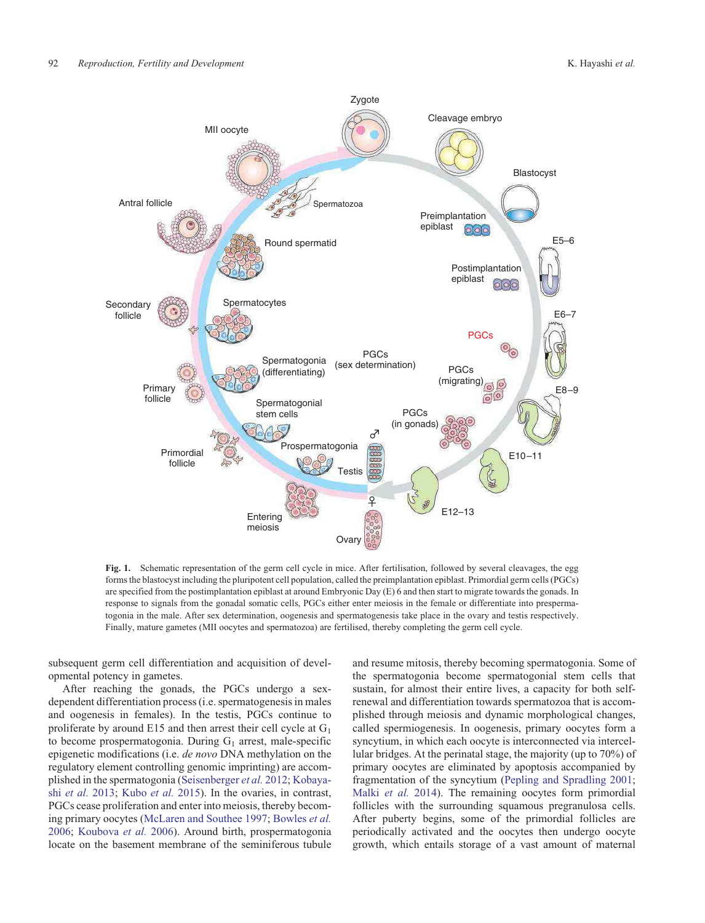

**Fig. 1.** Schematic representation of the germ cell cycle in mice. After fertilisation, followed by several cleavages, the egg forms the blastocyst including the pluripotent cell population, called the preimplantation epiblast. Primordial germ cells (PGCs) are specified from the postimplantation epiblast at around Embryonic Day (E) 6 and then start to migrate towards the gonads. In response to signals from the gonadal somatic cells, PGCs either enter meiosis in the female or differentiate into prespermatogonia in the male. After sex determination, oogenesis and spermatogenesis take place in the ovary and testis respectively. Finally, mature gametes (MII oocytes and spermatozoa) are fertilised, thereby completing the germ cell cycle.

subsequent germ cell differentiation and acquisition of developmental potency in gametes.

After reaching the gonads, the PGCs undergo a sexdependent differentiation process (i.e. spermatogenesis in males and oogenesis in females). In the testis, PGCs continue to proliferate by around E15 and then arrest their cell cycle at  $G_1$ to become prospermatogonia. During  $G_1$  arrest, male-specific epigenetic modifications (i.e. *de novo* DNA methylation on the regulatory element controlling genomic imprinting) are accomplished in the spermatogonia (Seisenberger *et al.* 2012; Kobayashi *et al.* 2013; Kubo *et al.* 2015). In the ovaries, in contrast, PGCs cease proliferation and enter into meiosis, thereby becoming primary oocytes (McLaren and Southee 1997; Bowles *et al.* 2006; Koubova *et al.* 2006). Around birth, prospermatogonia locate on the basement membrane of the seminiferous tubule

and resume mitosis, thereby becoming spermatogonia. Some of the spermatogonia become spermatogonial stem cells that sustain, for almost their entire lives, a capacity for both selfrenewal and differentiation towards spermatozoa that is accomplished through meiosis and dynamic morphological changes, called spermiogenesis. In oogenesis, primary oocytes form a syncytium, in which each oocyte is interconnected via intercellular bridges. At the perinatal stage, the majority (up to 70%) of primary oocytes are eliminated by apoptosis accompanied by fragmentation of the syncytium (Pepling and Spradling 2001; Malki *et al.* 2014). The remaining oocytes form primordial follicles with the surrounding squamous pregranulosa cells. After puberty begins, some of the primordial follicles are periodically activated and the oocytes then undergo oocyte growth, which entails storage of a vast amount of maternal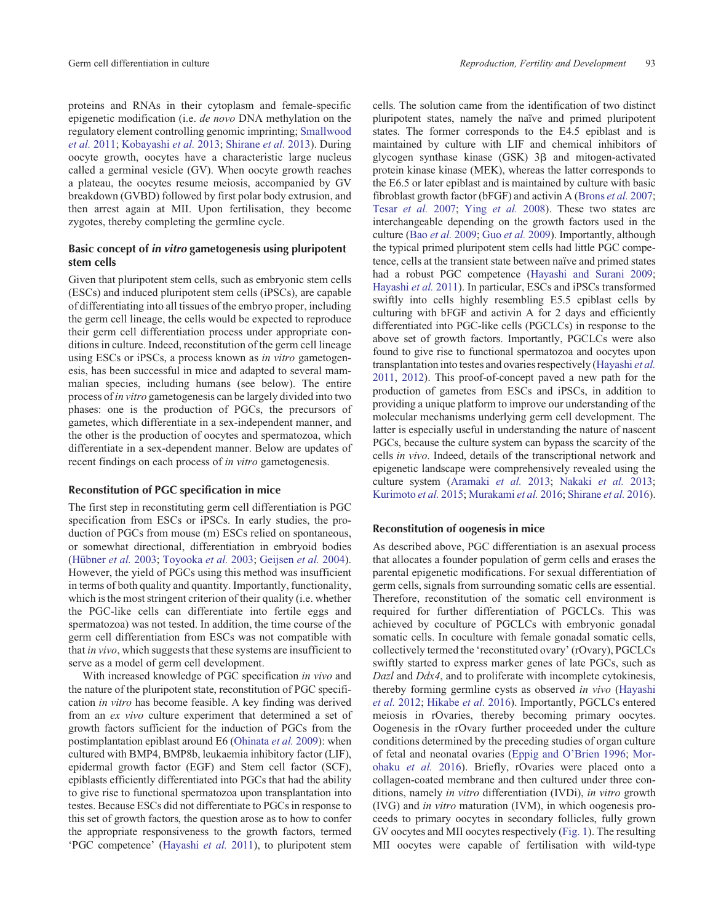proteins and RNAs in their cytoplasm and female-specific epigenetic modification (i.e. *de novo* DNA methylation on the regulatory element controlling genomic imprinting; Smallwood *et al.* 2011; Kobayashi *et al.* 2013; Shirane *et al.* 2013). During oocyte growth, oocytes have a characteristic large nucleus called a germinal vesicle (GV). When oocyte growth reaches a plateau, the oocytes resume meiosis, accompanied by GV breakdown (GVBD) followed by first polar body extrusion, and then arrest again at MII. Upon fertilisation, they become zygotes, thereby completing the germline cycle.

# Basic concept of in vitro gametogenesis using pluripotent stem cells

Given that pluripotent stem cells, such as embryonic stem cells (ESCs) and induced pluripotent stem cells (iPSCs), are capable of differentiating into all tissues of the embryo proper, including the germ cell lineage, the cells would be expected to reproduce their germ cell differentiation process under appropriate conditions in culture. Indeed, reconstitution of the germ cell lineage using ESCs or iPSCs, a process known as *in vitro* gametogenesis, has been successful in mice and adapted to several mammalian species, including humans (see below). The entire process of *in vitro* gametogenesis can be largely divided into two phases: one is the production of PGCs, the precursors of gametes, which differentiate in a sex-independent manner, and the other is the production of oocytes and spermatozoa, which differentiate in a sex-dependent manner. Below are updates of recent findings on each process of *in vitro* gametogenesis.

## Reconstitution of PGC specification in mice

The first step in reconstituting germ cell differentiation is PGC specification from ESCs or iPSCs. In early studies, the production of PGCs from mouse (m) ESCs relied on spontaneous, or somewhat directional, differentiation in embryoid bodies (Hübner *et al.* 2003; Toyooka *et al.* 2003; Geijsen *et al.* 2004). However, the yield of PGCs using this method was insufficient in terms of both quality and quantity. Importantly, functionality, which is the most stringent criterion of their quality (i.e. whether the PGC-like cells can differentiate into fertile eggs and spermatozoa) was not tested. In addition, the time course of the germ cell differentiation from ESCs was not compatible with that *in vivo*, which suggests that these systems are insufficient to serve as a model of germ cell development.

With increased knowledge of PGC specification *in vivo* and the nature of the pluripotent state, reconstitution of PGC specification *in vitro* has become feasible. A key finding was derived from an *ex vivo* culture experiment that determined a set of growth factors sufficient for the induction of PGCs from the postimplantation epiblast around E6 (Ohinata *et al.* 2009): when cultured with BMP4, BMP8b, leukaemia inhibitory factor (LIF), epidermal growth factor (EGF) and Stem cell factor (SCF), epiblasts efficiently differentiated into PGCs that had the ability to give rise to functional spermatozoa upon transplantation into testes. Because ESCs did not differentiate to PGCs in response to this set of growth factors, the question arose as to how to confer the appropriate responsiveness to the growth factors, termed 'PGC competence' (Hayashi *et al.* 2011), to pluripotent stem cells. The solution came from the identification of two distinct pluripotent states, namely the naïve and primed pluripotent states. The former corresponds to the E4.5 epiblast and is maintained by culture with LIF and chemical inhibitors of glycogen synthase kinase (GSK) 3b and mitogen-activated protein kinase kinase (MEK), whereas the latter corresponds to the E6.5 or later epiblast and is maintained by culture with basic fibroblast growth factor (bFGF) and activin A (Brons *et al.* 2007; Tesar *et al.* 2007; Ying *et al.* 2008). These two states are interchangeable depending on the growth factors used in the culture (Bao *et al.* 2009; Guo *et al.* 2009). Importantly, although the typical primed pluripotent stem cells had little PGC competence, cells at the transient state between naïve and primed states had a robust PGC competence (Hayashi and Surani 2009; Hayashi *et al.* 2011). In particular, ESCs and iPSCs transformed swiftly into cells highly resembling E5.5 epiblast cells by culturing with bFGF and activin A for 2 days and efficiently differentiated into PGC-like cells (PGCLCs) in response to the above set of growth factors. Importantly, PGCLCs were also found to give rise to functional spermatozoa and oocytes upon transplantation into testes and ovaries respectively (Hayashi *et al.* 2011, 2012). This proof-of-concept paved a new path for the production of gametes from ESCs and iPSCs, in addition to providing a unique platform to improve our understanding of the molecular mechanisms underlying germ cell development. The latter is especially useful in understanding the nature of nascent PGCs, because the culture system can bypass the scarcity of the cells *in vivo*. Indeed, details of the transcriptional network and epigenetic landscape were comprehensively revealed using the culture system (Aramaki *et al.* 2013; Nakaki *et al.* 2013; Kurimoto *et al.* 2015; Murakami *et al.* 2016; Shirane *et al.* 2016).

#### Reconstitution of oogenesis in mice

As described above, PGC differentiation is an asexual process that allocates a founder population of germ cells and erases the parental epigenetic modifications. For sexual differentiation of germ cells, signals from surrounding somatic cells are essential. Therefore, reconstitution of the somatic cell environment is required for further differentiation of PGCLCs. This was achieved by coculture of PGCLCs with embryonic gonadal somatic cells. In coculture with female gonadal somatic cells, collectively termed the 'reconstituted ovary' (rOvary), PGCLCs swiftly started to express marker genes of late PGCs, such as *Dazl* and *Ddx4*, and to proliferate with incomplete cytokinesis, thereby forming germline cysts as observed *in vivo* (Hayashi *et al.* 2012; Hikabe *et al.* 2016). Importantly, PGCLCs entered meiosis in rOvaries, thereby becoming primary oocytes. Oogenesis in the rOvary further proceeded under the culture conditions determined by the preceding studies of organ culture of fetal and neonatal ovaries (Eppig and O'Brien 1996; Morohaku *et al.* 2016). Briefly, rOvaries were placed onto a collagen-coated membrane and then cultured under three conditions, namely *in vitro* differentiation (IVDi), *in vitro* growth (IVG) and *in vitro* maturation (IVM), in which oogenesis proceeds to primary oocytes in secondary follicles, fully grown GV oocytes and MII oocytes respectively (Fig. 1). The resulting MII oocytes were capable of fertilisation with wild-type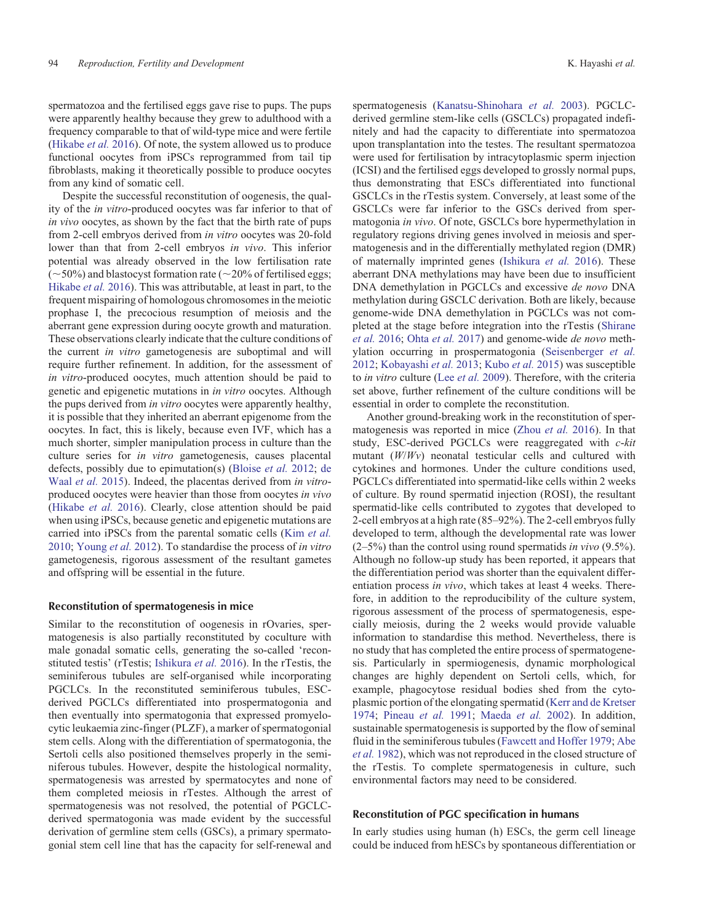spermatozoa and the fertilised eggs gave rise to pups. The pups were apparently healthy because they grew to adulthood with a frequency comparable to that of wild-type mice and were fertile (Hikabe *et al.* 2016). Of note, the system allowed us to produce functional oocytes from iPSCs reprogrammed from tail tip fibroblasts, making it theoretically possible to produce oocytes from any kind of somatic cell.

Despite the successful reconstitution of oogenesis, the quality of the *in vitro*-produced oocytes was far inferior to that of *in vivo* oocytes, as shown by the fact that the birth rate of pups from 2-cell embryos derived from *in vitro* oocytes was 20-fold lower than that from 2-cell embryos *in vivo*. This inferior potential was already observed in the low fertilisation rate  $(-50\%)$  and blastocyst formation rate ( $\sim$ 20% of fertilised eggs; Hikabe *et al.* 2016). This was attributable, at least in part, to the frequent mispairing of homologous chromosomes in the meiotic prophase I, the precocious resumption of meiosis and the aberrant gene expression during oocyte growth and maturation. These observations clearly indicate that the culture conditions of the current *in vitro* gametogenesis are suboptimal and will require further refinement. In addition, for the assessment of *in vitro*-produced oocytes, much attention should be paid to genetic and epigenetic mutations in *in vitro* oocytes. Although the pups derived from *in vitro* oocytes were apparently healthy, it is possible that they inherited an aberrant epigenome from the oocytes. In fact, this is likely, because even IVF, which has a much shorter, simpler manipulation process in culture than the culture series for *in vitro* gametogenesis, causes placental defects, possibly due to epimutation(s) (Bloise *et al.* 2012; de Waal *et al.* 2015). Indeed, the placentas derived from *in vitro*produced oocytes were heavier than those from oocytes *in vivo* (Hikabe *et al.* 2016). Clearly, close attention should be paid when using iPSCs, because genetic and epigenetic mutations are carried into iPSCs from the parental somatic cells (Kim *et al.* 2010; Young *et al.* 2012). To standardise the process of *in vitro* gametogenesis, rigorous assessment of the resultant gametes and offspring will be essential in the future.

## Reconstitution of spermatogenesis in mice

Similar to the reconstitution of oogenesis in rOvaries, spermatogenesis is also partially reconstituted by coculture with male gonadal somatic cells, generating the so-called 'reconstituted testis' (rTestis; Ishikura *et al.* 2016). In the rTestis, the seminiferous tubules are self-organised while incorporating PGCLCs. In the reconstituted seminiferous tubules, ESCderived PGCLCs differentiated into prospermatogonia and then eventually into spermatogonia that expressed promyelocytic leukaemia zinc-finger (PLZF), a marker of spermatogonial stem cells. Along with the differentiation of spermatogonia, the Sertoli cells also positioned themselves properly in the seminiferous tubules. However, despite the histological normality, spermatogenesis was arrested by spermatocytes and none of them completed meiosis in rTestes. Although the arrest of spermatogenesis was not resolved, the potential of PGCLCderived spermatogonia was made evident by the successful derivation of germline stem cells (GSCs), a primary spermatogonial stem cell line that has the capacity for self-renewal and

spermatogenesis (Kanatsu-Shinohara *et al.* 2003). PGCLCderived germline stem-like cells (GSCLCs) propagated indefinitely and had the capacity to differentiate into spermatozoa upon transplantation into the testes. The resultant spermatozoa were used for fertilisation by intracytoplasmic sperm injection (ICSI) and the fertilised eggs developed to grossly normal pups, thus demonstrating that ESCs differentiated into functional GSCLCs in the rTestis system. Conversely, at least some of the GSCLCs were far inferior to the GSCs derived from spermatogonia *in vivo*. Of note, GSCLCs bore hypermethylation in regulatory regions driving genes involved in meiosis and spermatogenesis and in the differentially methylated region (DMR) of maternally imprinted genes (Ishikura *et al.* 2016). These aberrant DNA methylations may have been due to insufficient DNA demethylation in PGCLCs and excessive *de novo* DNA methylation during GSCLC derivation. Both are likely, because genome-wide DNA demethylation in PGCLCs was not completed at the stage before integration into the rTestis (Shirane *et al.* 2016; Ohta *et al.* 2017) and genome-wide *de novo* methylation occurring in prospermatogonia (Seisenberger *et al.* 2012; Kobayashi *et al.* 2013; Kubo *et al.* 2015) was susceptible to *in vitro* culture (Lee *et al.* 2009). Therefore, with the criteria set above, further refinement of the culture conditions will be essential in order to complete the reconstitution.

Another ground-breaking work in the reconstitution of spermatogenesis was reported in mice (Zhou *et al.* 2016). In that study, ESC-derived PGCLCs were reaggregated with *c*-*kit* mutant (*W*/*Wv*) neonatal testicular cells and cultured with cytokines and hormones. Under the culture conditions used, PGCLCs differentiated into spermatid-like cells within 2 weeks of culture. By round spermatid injection (ROSI), the resultant spermatid-like cells contributed to zygotes that developed to 2-cell embryos at a high rate (85–92%). The 2-cell embryos fully developed to term, although the developmental rate was lower (2–5%) than the control using round spermatids *in vivo* (9.5%). Although no follow-up study has been reported, it appears that the differentiation period was shorter than the equivalent differentiation process *in vivo*, which takes at least 4 weeks. Therefore, in addition to the reproducibility of the culture system, rigorous assessment of the process of spermatogenesis, especially meiosis, during the 2 weeks would provide valuable information to standardise this method. Nevertheless, there is no study that has completed the entire process of spermatogenesis. Particularly in spermiogenesis, dynamic morphological changes are highly dependent on Sertoli cells, which, for example, phagocytose residual bodies shed from the cytoplasmic portion of the elongating spermatid (Kerr and de Kretser 1974; Pineau *et al.* 1991; Maeda *et al.* 2002). In addition, sustainable spermatogenesis is supported by the flow of seminal fluid in the seminiferous tubules (Fawcett and Hoffer 1979; Abe *et al.* 1982), which was not reproduced in the closed structure of the rTestis. To complete spermatogenesis in culture, such environmental factors may need to be considered.

## Reconstitution of PGC specification in humans

In early studies using human (h) ESCs, the germ cell lineage could be induced from hESCs by spontaneous differentiation or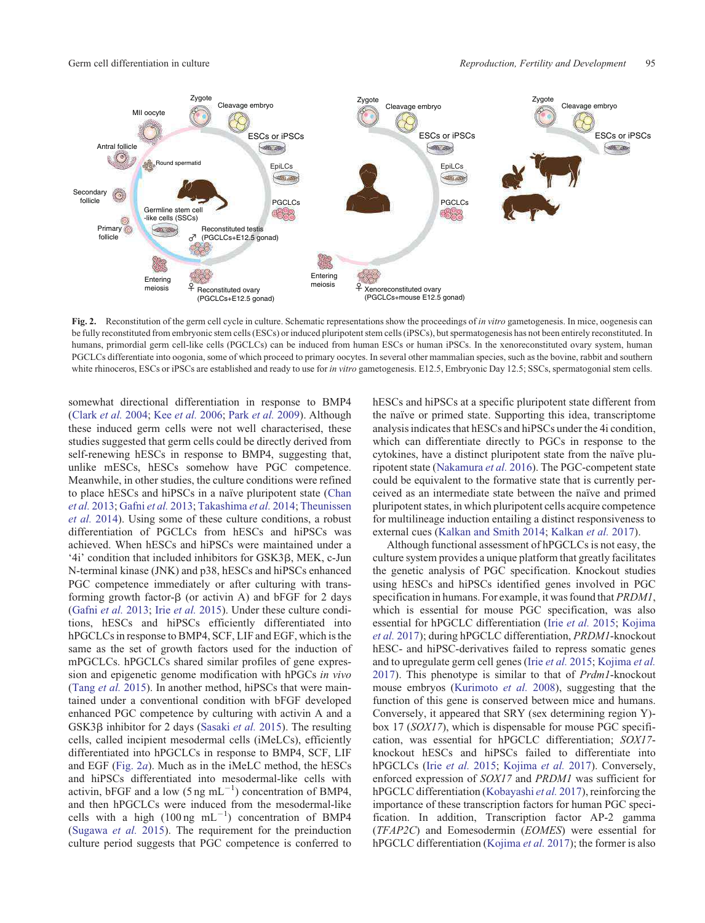

**Fig. 2.** Reconstitution of the germ cell cycle in culture. Schematic representations show the proceedings of *in vitro* gametogenesis. In mice, oogenesis can be fully reconstituted from embryonic stem cells (ESCs) or induced pluripotent stem cells (iPSCs), but spermatogenesis has not been entirely reconstituted. In humans, primordial germ cell-like cells (PGCLCs) can be induced from human ESCs or human iPSCs. In the xenoreconstituted ovary system, human PGCLCs differentiate into oogonia, some of which proceed to primary oocytes. In several other mammalian species, such as the bovine, rabbit and southern white rhinoceros, ESCs or iPSCs are established and ready to use for *in vitro* gametogenesis. E12.5, Embryonic Day 12.5; SSCs, spermatogonial stem cells.

somewhat directional differentiation in response to BMP4 (Clark *et al.* 2004; Kee *et al.* 2006; Park *et al.* 2009). Although these induced germ cells were not well characterised, these studies suggested that germ cells could be directly derived from self-renewing hESCs in response to BMP4, suggesting that, unlike mESCs, hESCs somehow have PGC competence. Meanwhile, in other studies, the culture conditions were refined to place hESCs and hiPSCs in a naïve pluripotent state (Chan *et al.* 2013; Gafni *et al.* 2013; Takashima *et al.* 2014; Theunissen *et al.* 2014). Using some of these culture conditions, a robust differentiation of PGCLCs from hESCs and hiPSCs was achieved. When hESCs and hiPSCs were maintained under a '4i' condition that included inhibitors for GSK3 $\beta$ , MEK, c-Jun N-terminal kinase (JNK) and p38, hESCs and hiPSCs enhanced PGC competence immediately or after culturing with transforming growth factor- $\beta$  (or activin A) and bFGF for 2 days (Gafni *et al.* 2013; Irie *et al.* 2015). Under these culture conditions, hESCs and hiPSCs efficiently differentiated into hPGCLCs in response to BMP4, SCF, LIF and EGF, which is the same as the set of growth factors used for the induction of mPGCLCs. hPGCLCs shared similar profiles of gene expression and epigenetic genome modification with hPGCs *in vivo* (Tang *et al.* 2015). In another method, hiPSCs that were maintained under a conventional condition with bFGF developed enhanced PGC competence by culturing with activin A and a GSK3β inhibitor for 2 days (Sasaki *et al.* 2015). The resulting cells, called incipient mesodermal cells (iMeLCs), efficiently differentiated into hPGCLCs in response to BMP4, SCF, LIF and EGF (Fig. 2*a*). Much as in the iMeLC method, the hESCs and hiPSCs differentiated into mesodermal-like cells with activin, bFGF and a low  $(5 \text{ ng } \text{mL}^{-1})$  concentration of BMP4, and then hPGCLCs were induced from the mesodermal-like cells with a high  $(100 \text{ ng } \text{ mL}^{-1})$  concentration of BMP4 (Sugawa *et al.* 2015). The requirement for the preinduction culture period suggests that PGC competence is conferred to hESCs and hiPSCs at a specific pluripotent state different from the naïve or primed state. Supporting this idea, transcriptome analysis indicates that hESCs and hiPSCs under the 4i condition, which can differentiate directly to PGCs in response to the cytokines, have a distinct pluripotent state from the naïve pluripotent state (Nakamura *et al.* 2016). The PGC-competent state could be equivalent to the formative state that is currently perceived as an intermediate state between the naïve and primed pluripotent states, in which pluripotent cells acquire competence for multilineage induction entailing a distinct responsiveness to external cues (Kalkan and Smith 2014; Kalkan *et al.* 2017).

Although functional assessment of hPGCLCs is not easy, the culture system provides a unique platform that greatly facilitates the genetic analysis of PGC specification. Knockout studies using hESCs and hiPSCs identified genes involved in PGC specification in humans. For example, it was found that *PRDM1*, which is essential for mouse PGC specification, was also essential for hPGCLC differentiation (Irie *et al.* 2015; Kojima *et al.* 2017); during hPGCLC differentiation, *PRDM1*-knockout hESC- and hiPSC-derivatives failed to repress somatic genes and to upregulate germ cell genes (Irie *et al.* 2015; Kojima *et al.* 2017). This phenotype is similar to that of *Prdm1*-knockout mouse embryos (Kurimoto *et al.* 2008), suggesting that the function of this gene is conserved between mice and humans. Conversely, it appeared that SRY (sex determining region Y) box 17 (*SOX17*), which is dispensable for mouse PGC specification, was essential for hPGCLC differentiation; *SOX17* knockout hESCs and hiPSCs failed to differentiate into hPGCLCs (Irie *et al.* 2015; Kojima *et al.* 2017). Conversely, enforced expression of *SOX17* and *PRDM1* was sufficient for hPGCLC differentiation (Kobayashi *et al.* 2017), reinforcing the importance of these transcription factors for human PGC specification. In addition, Transcription factor AP-2 gamma (*TFAP2C*) and Eomesodermin (*EOMES*) were essential for hPGCLC differentiation (Kojima *et al.* 2017); the former is also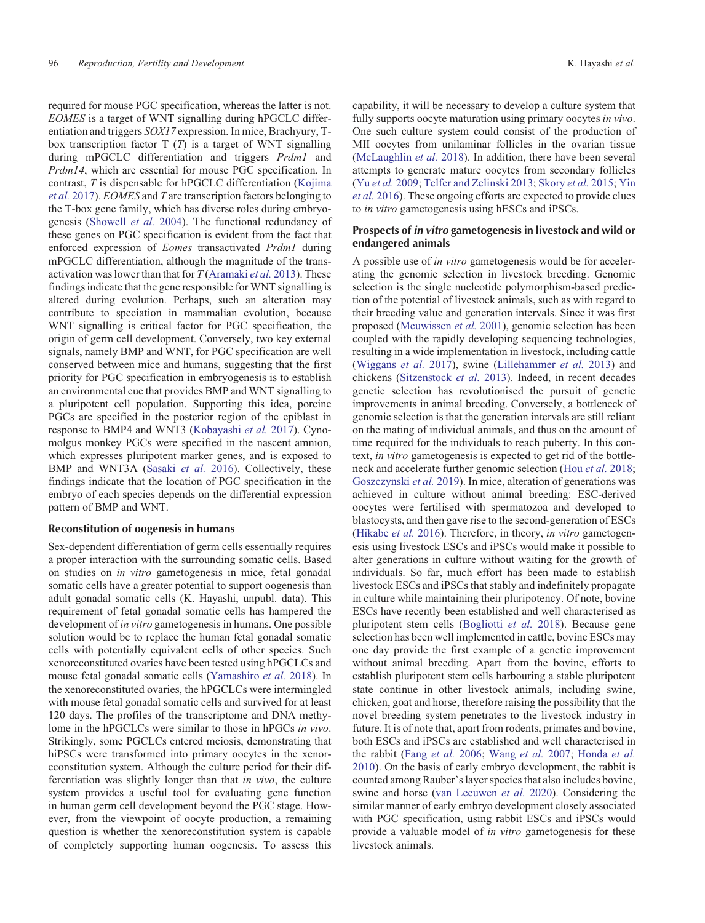required for mouse PGC specification, whereas the latter is not. *EOMES* is a target of WNT signalling during hPGCLC differentiation and triggers *SOX17* expression. In mice, Brachyury, Tbox transcription factor T (*T*) is a target of WNT signalling during mPGCLC differentiation and triggers *Prdm1* and *Prdm14*, which are essential for mouse PGC specification. In contrast, *T* is dispensable for hPGCLC differentiation (Kojima *et al.* 2017). *EOMES* and *T* are transcription factors belonging to the T-box gene family, which has diverse roles during embryogenesis (Showell *et al.* 2004). The functional redundancy of these genes on PGC specification is evident from the fact that enforced expression of *Eomes* transactivated *Prdm1* during mPGCLC differentiation, although the magnitude of the transactivation was lower than that for *T* (Aramaki *et al.* 2013). These findings indicate that the gene responsible for WNT signalling is altered during evolution. Perhaps, such an alteration may contribute to speciation in mammalian evolution, because WNT signalling is critical factor for PGC specification, the origin of germ cell development. Conversely, two key external signals, namely BMP and WNT, for PGC specification are well conserved between mice and humans, suggesting that the first priority for PGC specification in embryogenesis is to establish an environmental cue that provides BMP and WNT signalling to a pluripotent cell population. Supporting this idea, porcine PGCs are specified in the posterior region of the epiblast in response to BMP4 and WNT3 (Kobayashi *et al.* 2017). Cynomolgus monkey PGCs were specified in the nascent amnion, which expresses pluripotent marker genes, and is exposed to BMP and WNT3A (Sasaki *et al.* 2016). Collectively, these findings indicate that the location of PGC specification in the embryo of each species depends on the differential expression pattern of BMP and WNT.

#### Reconstitution of oogenesis in humans

Sex-dependent differentiation of germ cells essentially requires a proper interaction with the surrounding somatic cells. Based on studies on *in vitro* gametogenesis in mice, fetal gonadal somatic cells have a greater potential to support oogenesis than adult gonadal somatic cells (K. Hayashi, unpubl. data). This requirement of fetal gonadal somatic cells has hampered the development of *in vitro* gametogenesis in humans. One possible solution would be to replace the human fetal gonadal somatic cells with potentially equivalent cells of other species. Such xenoreconstituted ovaries have been tested using hPGCLCs and mouse fetal gonadal somatic cells (Yamashiro *et al.* 2018). In the xenoreconstituted ovaries, the hPGCLCs were intermingled with mouse fetal gonadal somatic cells and survived for at least 120 days. The profiles of the transcriptome and DNA methylome in the hPGCLCs were similar to those in hPGCs *in vivo*. Strikingly, some PGCLCs entered meiosis, demonstrating that hiPSCs were transformed into primary oocytes in the xenoreconstitution system. Although the culture period for their differentiation was slightly longer than that *in vivo*, the culture system provides a useful tool for evaluating gene function in human germ cell development beyond the PGC stage. However, from the viewpoint of oocyte production, a remaining question is whether the xenoreconstitution system is capable of completely supporting human oogenesis. To assess this capability, it will be necessary to develop a culture system that fully supports oocyte maturation using primary oocytes *in vivo*. One such culture system could consist of the production of MII oocytes from unilaminar follicles in the ovarian tissue (McLaughlin *et al.* 2018). In addition, there have been several attempts to generate mature oocytes from secondary follicles (Yu *et al.* 2009; Telfer and Zelinski 2013; Skory *et al.* 2015; Yin *et al.* 2016). These ongoing efforts are expected to provide clues to *in vitro* gametogenesis using hESCs and iPSCs.

## Prospects of in vitro gametogenesis in livestock and wild or endangered animals

A possible use of *in vitro* gametogenesis would be for accelerating the genomic selection in livestock breeding. Genomic selection is the single nucleotide polymorphism-based prediction of the potential of livestock animals, such as with regard to their breeding value and generation intervals. Since it was first proposed (Meuwissen *et al.* 2001), genomic selection has been coupled with the rapidly developing sequencing technologies, resulting in a wide implementation in livestock, including cattle (Wiggans *et al.* 2017), swine (Lillehammer *et al.* 2013) and chickens (Sitzenstock *et al.* 2013). Indeed, in recent decades genetic selection has revolutionised the pursuit of genetic improvements in animal breeding. Conversely, a bottleneck of genomic selection is that the generation intervals are still reliant on the mating of individual animals, and thus on the amount of time required for the individuals to reach puberty. In this context, *in vitro* gametogenesis is expected to get rid of the bottleneck and accelerate further genomic selection (Hou *et al.* 2018; Goszczynski *et al.* 2019). In mice, alteration of generations was achieved in culture without animal breeding: ESC-derived oocytes were fertilised with spermatozoa and developed to blastocysts, and then gave rise to the second-generation of ESCs (Hikabe *et al.* 2016). Therefore, in theory, *in vitro* gametogenesis using livestock ESCs and iPSCs would make it possible to alter generations in culture without waiting for the growth of individuals. So far, much effort has been made to establish livestock ESCs and iPSCs that stably and indefinitely propagate in culture while maintaining their pluripotency. Of note, bovine ESCs have recently been established and well characterised as pluripotent stem cells (Bogliotti *et al.* 2018). Because gene selection has been well implemented in cattle, bovine ESCs may one day provide the first example of a genetic improvement without animal breeding. Apart from the bovine, efforts to establish pluripotent stem cells harbouring a stable pluripotent state continue in other livestock animals, including swine, chicken, goat and horse, therefore raising the possibility that the novel breeding system penetrates to the livestock industry in future. It is of note that, apart from rodents, primates and bovine, both ESCs and iPSCs are established and well characterised in the rabbit (Fang *et al.* 2006; Wang *et al.* 2007; Honda *et al.* 2010). On the basis of early embryo development, the rabbit is counted among Rauber's layer species that also includes bovine, swine and horse (van Leeuwen *et al.* 2020). Considering the similar manner of early embryo development closely associated with PGC specification, using rabbit ESCs and iPSCs would provide a valuable model of *in vitro* gametogenesis for these livestock animals.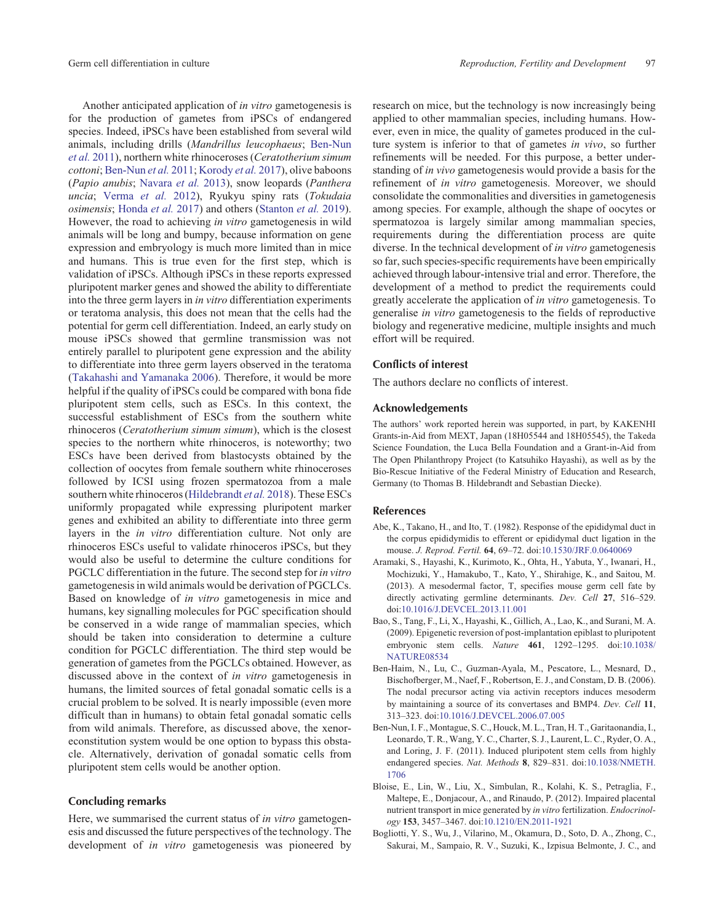Another anticipated application of *in vitro* gametogenesis is for the production of gametes from iPSCs of endangered species. Indeed, iPSCs have been established from several wild animals, including drills (*Mandrillus leucophaeus*; Ben-Nun *et al.* 2011), northern white rhinoceroses (*Ceratotherium simum cottoni*; Ben-Nun *et al.* 2011; Korody *et al.* 2017), olive baboons (*Papio anubis*; Navara *et al.* 2013), snow leopards (*Panthera uncia*; Verma *et al.* 2012), Ryukyu spiny rats (*Tokudaia osimensis*; Honda *et al.* 2017) and others (Stanton *et al.* 2019). However, the road to achieving *in vitro* gametogenesis in wild animals will be long and bumpy, because information on gene expression and embryology is much more limited than in mice and humans. This is true even for the first step, which is validation of iPSCs. Although iPSCs in these reports expressed pluripotent marker genes and showed the ability to differentiate into the three germ layers in *in vitro* differentiation experiments or teratoma analysis, this does not mean that the cells had the potential for germ cell differentiation. Indeed, an early study on mouse iPSCs showed that germline transmission was not entirely parallel to pluripotent gene expression and the ability to differentiate into three germ layers observed in the teratoma (Takahashi and Yamanaka 2006). Therefore, it would be more helpful if the quality of iPSCs could be compared with bona fide pluripotent stem cells, such as ESCs. In this context, the successful establishment of ESCs from the southern white rhinoceros (*Ceratotherium simum simum*), which is the closest species to the northern white rhinoceros, is noteworthy; two ESCs have been derived from blastocysts obtained by the collection of oocytes from female southern white rhinoceroses followed by ICSI using frozen spermatozoa from a male southern white rhinoceros (Hildebrandt *et al.* 2018). These ESCs uniformly propagated while expressing pluripotent marker genes and exhibited an ability to differentiate into three germ layers in the *in vitro* differentiation culture. Not only are rhinoceros ESCs useful to validate rhinoceros iPSCs, but they would also be useful to determine the culture conditions for PGCLC differentiation in the future. The second step for *in vitro* gametogenesis in wild animals would be derivation of PGCLCs. Based on knowledge of *in vitro* gametogenesis in mice and humans, key signalling molecules for PGC specification should

be conserved in a wide range of mammalian species, which should be taken into consideration to determine a culture condition for PGCLC differentiation. The third step would be generation of gametes from the PGCLCs obtained. However, as discussed above in the context of *in vitro* gametogenesis in humans, the limited sources of fetal gonadal somatic cells is a crucial problem to be solved. It is nearly impossible (even more difficult than in humans) to obtain fetal gonadal somatic cells from wild animals. Therefore, as discussed above, the xenoreconstitution system would be one option to bypass this obstacle. Alternatively, derivation of gonadal somatic cells from pluripotent stem cells would be another option.

# Concluding remarks

Here, we summarised the current status of *in vitro* gametogenesis and discussed the future perspectives of the technology. The development of *in vitro* gametogenesis was pioneered by research on mice, but the technology is now increasingly being applied to other mammalian species, including humans. However, even in mice, the quality of gametes produced in the culture system is inferior to that of gametes *in vivo*, so further refinements will be needed. For this purpose, a better understanding of *in vivo* gametogenesis would provide a basis for the refinement of *in vitro* gametogenesis. Moreover, we should consolidate the commonalities and diversities in gametogenesis among species. For example, although the shape of oocytes or spermatozoa is largely similar among mammalian species, requirements during the differentiation process are quite diverse. In the technical development of *in vitro* gametogenesis so far, such species-specific requirements have been empirically achieved through labour-intensive trial and error. Therefore, the development of a method to predict the requirements could greatly accelerate the application of *in vitro* gametogenesis. To generalise *in vitro* gametogenesis to the fields of reproductive biology and regenerative medicine, multiple insights and much effort will be required.

## Conflicts of interest

The authors declare no conflicts of interest.

#### Acknowledgements

The authors' work reported herein was supported, in part, by KAKENHI Grants-in-Aid from MEXT, Japan (18H05544 and 18H05545), the Takeda Science Foundation, the Luca Bella Foundation and a Grant-in-Aid from The Open Philanthropy Project (to Katsuhiko Hayashi), as well as by the Bio-Rescue Initiative of the Federal Ministry of Education and Research, Germany (to Thomas B. Hildebrandt and Sebastian Diecke).

#### References

- Abe, K., Takano, H., and Ito, T. (1982). Response of the epididymal duct in the corpus epididymidis to efferent or epididymal duct ligation in the mouse. *J. Reprod. Fertil.* **64**, 69–72. doi:10.1530/JRF.0.0640069
- Aramaki, S., Hayashi, K., Kurimoto, K., Ohta, H., Yabuta, Y., Iwanari, H., Mochizuki, Y., Hamakubo, T., Kato, Y., Shirahige, K., and Saitou, M. (2013). A mesodermal factor, T, specifies mouse germ cell fate by directly activating germline determinants. *Dev. Cell* **27**, 516–529. doi:10.1016/J.DEVCEL.2013.11.001
- Bao, S., Tang, F., Li, X., Hayashi, K., Gillich, A., Lao, K., and Surani, M. A. (2009). Epigenetic reversion of post-implantation epiblast to pluripotent embryonic stem cells. *Nature* **461**, 1292–1295. doi:10.1038/ NATURE08534
- Ben-Haim, N., Lu, C., Guzman-Ayala, M., Pescatore, L., Mesnard, D., Bischofberger, M., Naef, F., Robertson, E. J., and Constam, D. B. (2006). The nodal precursor acting via activin receptors induces mesoderm by maintaining a source of its convertases and BMP4. *Dev. Cell* **11**, 313–323. doi:10.1016/J.DEVCEL.2006.07.005
- Ben-Nun, I. F., Montague, S. C., Houck, M. L., Tran, H. T., Garitaonandia, I., Leonardo, T. R., Wang, Y. C., Charter, S. J., Laurent, L. C., Ryder, O. A., and Loring, J. F. (2011). Induced pluripotent stem cells from highly endangered species. *Nat. Methods* **8**, 829–831. doi:10.1038/NMETH. 1706
- Bloise, E., Lin, W., Liu, X., Simbulan, R., Kolahi, K. S., Petraglia, F., Maltepe, E., Donjacour, A., and Rinaudo, P. (2012). Impaired placental nutrient transport in mice generated by *in vitro* fertilization. *Endocrinology* **153**, 3457–3467. doi:10.1210/EN.2011-1921
- Bogliotti, Y. S., Wu, J., Vilarino, M., Okamura, D., Soto, D. A., Zhong, C., Sakurai, M., Sampaio, R. V., Suzuki, K., Izpisua Belmonte, J. C., and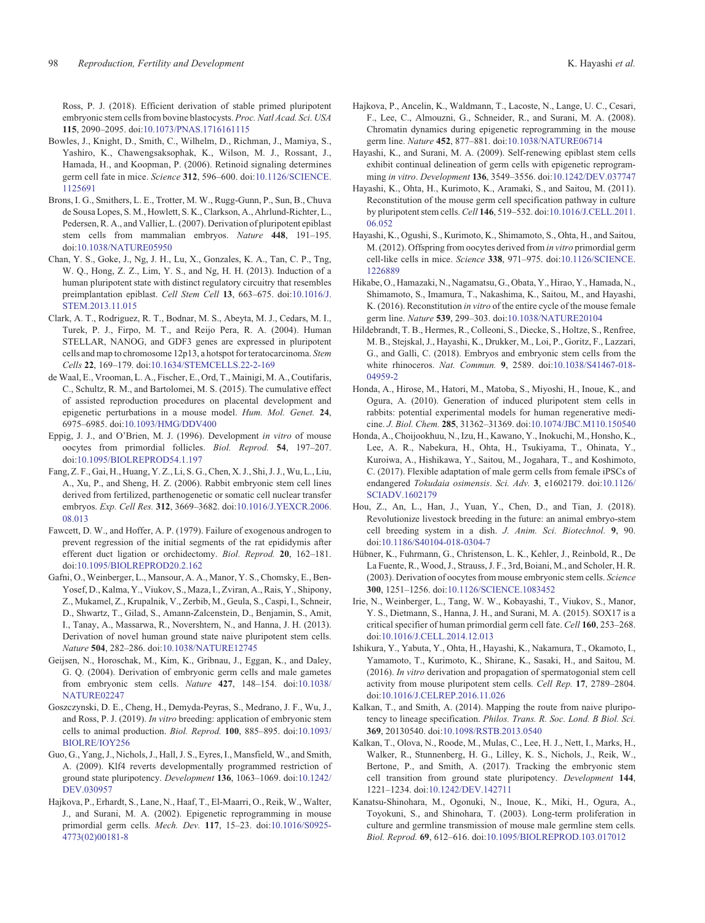Ross, P. J. (2018). Efficient derivation of stable primed pluripotent embryonic stem cells from bovine blastocysts. *Proc. Natl Acad. Sci. USA* **115**, 2090–2095. doi:10.1073/PNAS.1716161115

- Bowles, J., Knight, D., Smith, C., Wilhelm, D., Richman, J., Mamiya, S., Yashiro, K., Chawengsaksophak, K., Wilson, M. J., Rossant, J., Hamada, H., and Koopman, P. (2006). Retinoid signaling determines germ cell fate in mice. *Science* **312**, 596–600. doi:10.1126/SCIENCE. 1125691
- Brons, I. G., Smithers, L. E., Trotter, M. W., Rugg-Gunn, P., Sun, B., Chuva de Sousa Lopes, S. M., Howlett, S. K., Clarkson, A., Ahrlund-Richter, L., Pedersen, R. A., and Vallier, L. (2007). Derivation of pluripotent epiblast stem cells from mammalian embryos. *Nature* **448**, 191–195. doi:10.1038/NATURE05950
- Chan, Y. S., Goke, J., Ng, J. H., Lu, X., Gonzales, K. A., Tan, C. P., Tng, W. Q., Hong, Z. Z., Lim, Y. S., and Ng, H. H. (2013). Induction of a human pluripotent state with distinct regulatory circuitry that resembles preimplantation epiblast. *Cell Stem Cell* **13**, 663–675. doi:10.1016/J. STEM.2013.11.015
- Clark, A. T., Rodriguez, R. T., Bodnar, M. S., Abeyta, M. J., Cedars, M. I., Turek, P. J., Firpo, M. T., and Reijo Pera, R. A. (2004). Human STELLAR, NANOG, and GDF3 genes are expressed in pluripotent cells and map to chromosome 12p13, a hotspot for teratocarcinoma. *Stem Cells* **22**, 169–179. doi:10.1634/STEMCELLS.22-2-169
- de Waal, E., Vrooman, L. A., Fischer, E., Ord, T., Mainigi, M. A., Coutifaris, C., Schultz, R. M., and Bartolomei, M. S. (2015). The cumulative effect of assisted reproduction procedures on placental development and epigenetic perturbations in a mouse model. *Hum. Mol. Genet.* **24**, 6975–6985. doi:10.1093/HMG/DDV400
- Eppig, J. J., and O'Brien, M. J. (1996). Development *in vitro* of mouse oocytes from primordial follicles. *Biol. Reprod.* **54**, 197–207. doi:10.1095/BIOLREPROD54.1.197
- Fang, Z. F., Gai, H., Huang, Y. Z., Li, S. G., Chen, X. J., Shi, J. J., Wu, L., Liu, A., Xu, P., and Sheng, H. Z. (2006). Rabbit embryonic stem cell lines derived from fertilized, parthenogenetic or somatic cell nuclear transfer embryos. *Exp. Cell Res.* **312**, 3669–3682. doi:10.1016/J.YEXCR.2006. 08.013
- Fawcett, D. W., and Hoffer, A. P. (1979). Failure of exogenous androgen to prevent regression of the initial segments of the rat epididymis after efferent duct ligation or orchidectomy. *Biol. Reprod.* **20**, 162–181. doi:10.1095/BIOLREPROD20.2.162
- Gafni, O., Weinberger, L., Mansour, A. A., Manor, Y. S., Chomsky, E., Ben-Yosef, D., Kalma, Y., Viukov, S., Maza, I., Zviran, A., Rais, Y., Shipony, Z., Mukamel, Z., Krupalnik, V., Zerbib, M., Geula, S., Caspi, I., Schneir, D., Shwartz, T., Gilad, S., Amann-Zalcenstein, D., Benjamin, S., Amit, I., Tanay, A., Massarwa, R., Novershtern, N., and Hanna, J. H. (2013). Derivation of novel human ground state naive pluripotent stem cells. *Nature* **504**, 282–286. doi:10.1038/NATURE12745
- Geijsen, N., Horoschak, M., Kim, K., Gribnau, J., Eggan, K., and Daley, G. Q. (2004). Derivation of embryonic germ cells and male gametes from embryonic stem cells. *Nature* **427**, 148–154. doi:10.1038/ NATURE02247
- Goszczynski, D. E., Cheng, H., Demyda-Peyras, S., Medrano, J. F., Wu, J., and Ross, P. J. (2019). *In vitro* breeding: application of embryonic stem cells to animal production. *Biol. Reprod.* **100**, 885–895. doi:10.1093/ BIOLRE/IOY256
- Guo, G., Yang, J., Nichols, J., Hall, J. S., Eyres, I., Mansfield, W., and Smith, A. (2009). Klf4 reverts developmentally programmed restriction of ground state pluripotency. *Development* **136**, 1063–1069. doi:10.1242/ DEV.030957
- Hajkova, P., Erhardt, S., Lane, N., Haaf, T., El-Maarri, O., Reik, W., Walter, J., and Surani, M. A. (2002). Epigenetic reprogramming in mouse primordial germ cells. *Mech. Dev.* **117**, 15–23. doi:10.1016/S0925- 4773(02)00181-8
- Hajkova, P., Ancelin, K., Waldmann, T., Lacoste, N., Lange, U. C., Cesari, F., Lee, C., Almouzni, G., Schneider, R., and Surani, M. A. (2008). Chromatin dynamics during epigenetic reprogramming in the mouse germ line. *Nature* **452**, 877–881. doi:10.1038/NATURE06714
- Hayashi, K., and Surani, M. A. (2009). Self-renewing epiblast stem cells exhibit continual delineation of germ cells with epigenetic reprogramming *in vitro*. *Development* **136**, 3549–3556. doi:10.1242/DEV.037747
- Hayashi, K., Ohta, H., Kurimoto, K., Aramaki, S., and Saitou, M. (2011). Reconstitution of the mouse germ cell specification pathway in culture by pluripotent stem cells. *Cell* **146**, 519–532. doi:10.1016/J.CELL.2011. 06.052
- Hayashi, K., Ogushi, S., Kurimoto, K., Shimamoto, S., Ohta, H., and Saitou, M. (2012). Offspring from oocytes derived from *in vitro* primordial germ cell-like cells in mice. *Science* **338**, 971–975. doi:10.1126/SCIENCE. 1226889
- Hikabe, O., Hamazaki, N., Nagamatsu, G., Obata, Y., Hirao, Y., Hamada, N., Shimamoto, S., Imamura, T., Nakashima, K., Saitou, M., and Hayashi, K. (2016). Reconstitution *in vitro* of the entire cycle of the mouse female germ line. *Nature* **539**, 299–303. doi:10.1038/NATURE20104
- Hildebrandt, T. B., Hermes, R., Colleoni, S., Diecke, S., Holtze, S., Renfree, M. B., Stejskal, J., Hayashi, K., Drukker, M., Loi, P., Goritz, F., Lazzari, G., and Galli, C. (2018). Embryos and embryonic stem cells from the white rhinoceros. *Nat. Commun.* **9**, 2589. doi:10.1038/S41467-018- 04959-2
- Honda, A., Hirose, M., Hatori, M., Matoba, S., Miyoshi, H., Inoue, K., and Ogura, A. (2010). Generation of induced pluripotent stem cells in rabbits: potential experimental models for human regenerative medicine. *J. Biol. Chem.* **285**, 31362–31369. doi:10.1074/JBC.M110.150540
- Honda, A., Choijookhuu, N., Izu, H., Kawano, Y., Inokuchi, M., Honsho, K., Lee, A. R., Nabekura, H., Ohta, H., Tsukiyama, T., Ohinata, Y., Kuroiwa, A., Hishikawa, Y., Saitou, M., Jogahara, T., and Koshimoto, C. (2017). Flexible adaptation of male germ cells from female iPSCs of endangered *Tokudaia osimensis*. *Sci. Adv.* **3**, e1602179. doi:10.1126/ SCIADV.1602179
- Hou, Z., An, L., Han, J., Yuan, Y., Chen, D., and Tian, J. (2018). Revolutionize livestock breeding in the future: an animal embryo-stem cell breeding system in a dish. *J. Anim. Sci. Biotechnol.* **9**, 90. doi:10.1186/S40104-018-0304-7
- Hübner, K., Fuhrmann, G., Christenson, L. K., Kehler, J., Reinbold, R., De La Fuente, R., Wood, J., Strauss, J. F., 3rd, Boiani, M., and Scholer, H. R. (2003). Derivation of oocytes from mouse embryonic stem cells. *Science* **300**, 1251–1256. doi:10.1126/SCIENCE.1083452
- Irie, N., Weinberger, L., Tang, W. W., Kobayashi, T., Viukov, S., Manor, Y. S., Dietmann, S., Hanna, J. H., and Surani, M. A. (2015). SOX17 is a critical specifier of human primordial germ cell fate. *Cell* **160**, 253–268. doi:10.1016/J.CELL.2014.12.013
- Ishikura, Y., Yabuta, Y., Ohta, H., Hayashi, K., Nakamura, T., Okamoto, I., Yamamoto, T., Kurimoto, K., Shirane, K., Sasaki, H., and Saitou, M. (2016). *In vitro* derivation and propagation of spermatogonial stem cell activity from mouse pluripotent stem cells. *Cell Rep.* **17**, 2789–2804. doi:10.1016/J.CELREP.2016.11.026
- Kalkan, T., and Smith, A. (2014). Mapping the route from naive pluripotency to lineage specification. *Philos. Trans. R. Soc. Lond. B Biol. Sci.* **369**, 20130540. doi:10.1098/RSTB.2013.0540
- Kalkan, T., Olova, N., Roode, M., Mulas, C., Lee, H. J., Nett, I., Marks, H., Walker, R., Stunnenberg, H. G., Lilley, K. S., Nichols, J., Reik, W., Bertone, P., and Smith, A. (2017). Tracking the embryonic stem cell transition from ground state pluripotency. *Development* **144**, 1221–1234. doi:10.1242/DEV.142711
- Kanatsu-Shinohara, M., Ogonuki, N., Inoue, K., Miki, H., Ogura, A., Toyokuni, S., and Shinohara, T. (2003). Long-term proliferation in culture and germline transmission of mouse male germline stem cells. *Biol. Reprod.* **69**, 612–616. doi:10.1095/BIOLREPROD.103.017012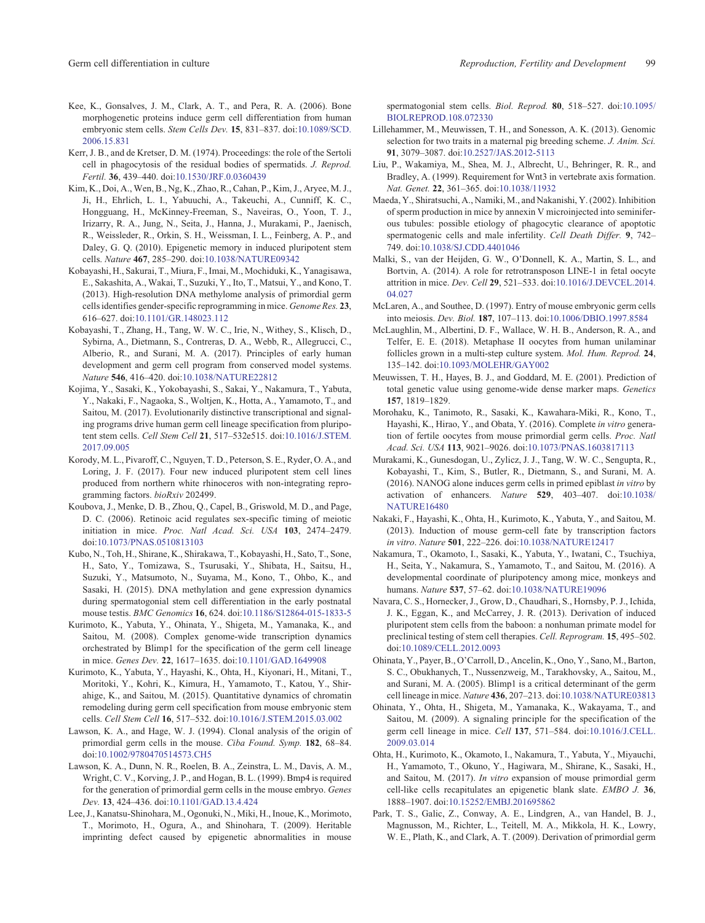- Kee, K., Gonsalves, J. M., Clark, A. T., and Pera, R. A. (2006). Bone morphogenetic proteins induce germ cell differentiation from human embryonic stem cells. *Stem Cells Dev.* **15**, 831–837. doi:10.1089/SCD. 2006.15.831
- Kerr, J. B., and de Kretser, D. M. (1974). Proceedings: the role of the Sertoli cell in phagocytosis of the residual bodies of spermatids. *J. Reprod. Fertil.* **36**, 439–440. doi:10.1530/JRF.0.0360439
- Kim, K., Doi, A., Wen, B., Ng, K., Zhao, R., Cahan, P., Kim, J., Aryee, M. J., Ji, H., Ehrlich, L. I., Yabuuchi, A., Takeuchi, A., Cunniff, K. C., Hongguang, H., McKinney-Freeman, S., Naveiras, O., Yoon, T. J., Irizarry, R. A., Jung, N., Seita, J., Hanna, J., Murakami, P., Jaenisch, R., Weissleder, R., Orkin, S. H., Weissman, I. L., Feinberg, A. P., and Daley, G. Q. (2010). Epigenetic memory in induced pluripotent stem cells. *Nature* **467**, 285–290. doi:10.1038/NATURE09342
- Kobayashi, H., Sakurai, T., Miura, F., Imai, M., Mochiduki, K., Yanagisawa, E., Sakashita, A., Wakai, T., Suzuki, Y., Ito, T., Matsui, Y., and Kono, T. (2013). High-resolution DNA methylome analysis of primordial germ cells identifies gender-specific reprogramming in mice. *Genome Res.* **23**, 616–627. doi:10.1101/GR.148023.112
- Kobayashi, T., Zhang, H., Tang, W. W. C., Irie, N., Withey, S., Klisch, D., Sybirna, A., Dietmann, S., Contreras, D. A., Webb, R., Allegrucci, C., Alberio, R., and Surani, M. A. (2017). Principles of early human development and germ cell program from conserved model systems. *Nature* **546**, 416–420. doi:10.1038/NATURE22812
- Kojima, Y., Sasaki, K., Yokobayashi, S., Sakai, Y., Nakamura, T., Yabuta, Y., Nakaki, F., Nagaoka, S., Woltjen, K., Hotta, A., Yamamoto, T., and Saitou, M. (2017). Evolutionarily distinctive transcriptional and signaling programs drive human germ cell lineage specification from pluripotent stem cells. *Cell Stem Cell* **21**, 517–532e515. doi:10.1016/J.STEM. 2017.09.005
- Korody, M. L., Pivaroff, C., Nguyen, T. D., Peterson, S. E., Ryder, O. A., and Loring, J. F. (2017). Four new induced pluripotent stem cell lines produced from northern white rhinoceros with non-integrating reprogramming factors. *bioRxiv* 202499.
- Koubova, J., Menke, D. B., Zhou, Q., Capel, B., Griswold, M. D., and Page, D. C. (2006). Retinoic acid regulates sex-specific timing of meiotic initiation in mice. *Proc. Natl Acad. Sci. USA* **103**, 2474–2479. doi:10.1073/PNAS.0510813103
- Kubo, N., Toh, H., Shirane, K., Shirakawa, T., Kobayashi, H., Sato, T., Sone, H., Sato, Y., Tomizawa, S., Tsurusaki, Y., Shibata, H., Saitsu, H., Suzuki, Y., Matsumoto, N., Suyama, M., Kono, T., Ohbo, K., and Sasaki, H. (2015). DNA methylation and gene expression dynamics during spermatogonial stem cell differentiation in the early postnatal mouse testis. *BMC Genomics* **16**, 624. doi:10.1186/S12864-015-1833-5
- Kurimoto, K., Yabuta, Y., Ohinata, Y., Shigeta, M., Yamanaka, K., and Saitou, M. (2008). Complex genome-wide transcription dynamics orchestrated by Blimp1 for the specification of the germ cell lineage in mice. *Genes Dev.* **22**, 1617–1635. doi:10.1101/GAD.1649908
- Kurimoto, K., Yabuta, Y., Hayashi, K., Ohta, H., Kiyonari, H., Mitani, T., Moritoki, Y., Kohri, K., Kimura, H., Yamamoto, T., Katou, Y., Shirahige, K., and Saitou, M. (2015). Quantitative dynamics of chromatin remodeling during germ cell specification from mouse embryonic stem cells. *Cell Stem Cell* **16**, 517–532. doi:10.1016/J.STEM.2015.03.002
- Lawson, K. A., and Hage, W. J. (1994). Clonal analysis of the origin of primordial germ cells in the mouse. *Ciba Found. Symp.* **182**, 68–84. doi:10.1002/9780470514573.CH5
- Lawson, K. A., Dunn, N. R., Roelen, B. A., Zeinstra, L. M., Davis, A. M., Wright, C. V., Korving, J. P., and Hogan, B. L. (1999). Bmp4 is required for the generation of primordial germ cells in the mouse embryo. *Genes Dev.* **13**, 424–436. doi:10.1101/GAD.13.4.424
- Lee, J., Kanatsu-Shinohara, M., Ogonuki, N., Miki, H., Inoue, K., Morimoto, T., Morimoto, H., Ogura, A., and Shinohara, T. (2009). Heritable imprinting defect caused by epigenetic abnormalities in mouse

spermatogonial stem cells. *Biol. Reprod.* **80**, 518–527. doi:10.1095/ BIOLREPROD.108.072330

- Lillehammer, M., Meuwissen, T. H., and Sonesson, A. K. (2013). Genomic selection for two traits in a maternal pig breeding scheme. *J. Anim. Sci.* **91**, 3079–3087. doi:10.2527/JAS.2012-5113
- Liu, P., Wakamiya, M., Shea, M. J., Albrecht, U., Behringer, R. R., and Bradley, A. (1999). Requirement for Wnt3 in vertebrate axis formation. *Nat. Genet.* **22**, 361–365. doi:10.1038/11932
- Maeda, Y., Shiratsuchi, A., Namiki, M., and Nakanishi, Y. (2002). Inhibition of sperm production in mice by annexin V microinjected into seminiferous tubules: possible etiology of phagocytic clearance of apoptotic spermatogenic cells and male infertility. *Cell Death Differ.* **9**, 742– 749. doi:10.1038/SJ.CDD.4401046
- Malki, S., van der Heijden, G. W., O'Donnell, K. A., Martin, S. L., and Bortvin, A. (2014). A role for retrotransposon LINE-1 in fetal oocyte attrition in mice. *Dev. Cell* **29**, 521–533. doi:10.1016/J.DEVCEL.2014. 04.027
- McLaren, A., and Southee, D. (1997). Entry of mouse embryonic germ cells into meiosis. *Dev. Biol.* **187**, 107–113. doi:10.1006/DBIO.1997.8584
- McLaughlin, M., Albertini, D. F., Wallace, W. H. B., Anderson, R. A., and Telfer, E. E. (2018). Metaphase II oocytes from human unilaminar follicles grown in a multi-step culture system. *Mol. Hum. Reprod.* **24**, 135–142. doi:10.1093/MOLEHR/GAY002
- Meuwissen, T. H., Hayes, B. J., and Goddard, M. E. (2001). Prediction of total genetic value using genome-wide dense marker maps. *Genetics* **157**, 1819–1829.
- Morohaku, K., Tanimoto, R., Sasaki, K., Kawahara-Miki, R., Kono, T., Hayashi, K., Hirao, Y., and Obata, Y. (2016). Complete *in vitro* generation of fertile oocytes from mouse primordial germ cells. *Proc. Natl Acad. Sci. USA* **113**, 9021–9026. doi:10.1073/PNAS.1603817113
- Murakami, K., Gunesdogan, U., Zylicz, J. J., Tang, W. W. C., Sengupta, R., Kobayashi, T., Kim, S., Butler, R., Dietmann, S., and Surani, M. A. (2016). NANOG alone induces germ cells in primed epiblast *in vitro* by activation of enhancers. *Nature* **529**, 403–407. doi:10.1038/ NATURE16480
- Nakaki, F., Hayashi, K., Ohta, H., Kurimoto, K., Yabuta, Y., and Saitou, M. (2013). Induction of mouse germ-cell fate by transcription factors *in vitro*. *Nature* **501**, 222–226. doi:10.1038/NATURE12417
- Nakamura, T., Okamoto, I., Sasaki, K., Yabuta, Y., Iwatani, C., Tsuchiya, H., Seita, Y., Nakamura, S., Yamamoto, T., and Saitou, M. (2016). A developmental coordinate of pluripotency among mice, monkeys and humans. *Nature* **537**, 57–62. doi:10.1038/NATURE19096
- Navara, C. S., Hornecker, J., Grow, D., Chaudhari, S., Hornsby, P. J., Ichida, J. K., Eggan, K., and McCarrey, J. R. (2013). Derivation of induced pluripotent stem cells from the baboon: a nonhuman primate model for preclinical testing of stem cell therapies. *Cell. Reprogram.* **15**, 495–502. doi:10.1089/CELL.2012.0093
- Ohinata, Y., Payer, B., O'Carroll, D., Ancelin, K., Ono, Y., Sano, M., Barton, S. C., Obukhanych, T., Nussenzweig, M., Tarakhovsky, A., Saitou, M., and Surani, M. A. (2005). Blimp1 is a critical determinant of the germ cell lineage in mice. *Nature* **436**, 207–213. doi:10.1038/NATURE03813
- Ohinata, Y., Ohta, H., Shigeta, M., Yamanaka, K., Wakayama, T., and Saitou, M. (2009). A signaling principle for the specification of the germ cell lineage in mice. *Cell* **137**, 571–584. doi:10.1016/J.CELL. 2009.03.014
- Ohta, H., Kurimoto, K., Okamoto, I., Nakamura, T., Yabuta, Y., Miyauchi, H., Yamamoto, T., Okuno, Y., Hagiwara, M., Shirane, K., Sasaki, H., and Saitou, M. (2017). *In vitro* expansion of mouse primordial germ cell-like cells recapitulates an epigenetic blank slate. *EMBO J.* **36**, 1888–1907. doi:10.15252/EMBJ.201695862
- Park, T. S., Galic, Z., Conway, A. E., Lindgren, A., van Handel, B. J., Magnusson, M., Richter, L., Teitell, M. A., Mikkola, H. K., Lowry, W. E., Plath, K., and Clark, A. T. (2009). Derivation of primordial germ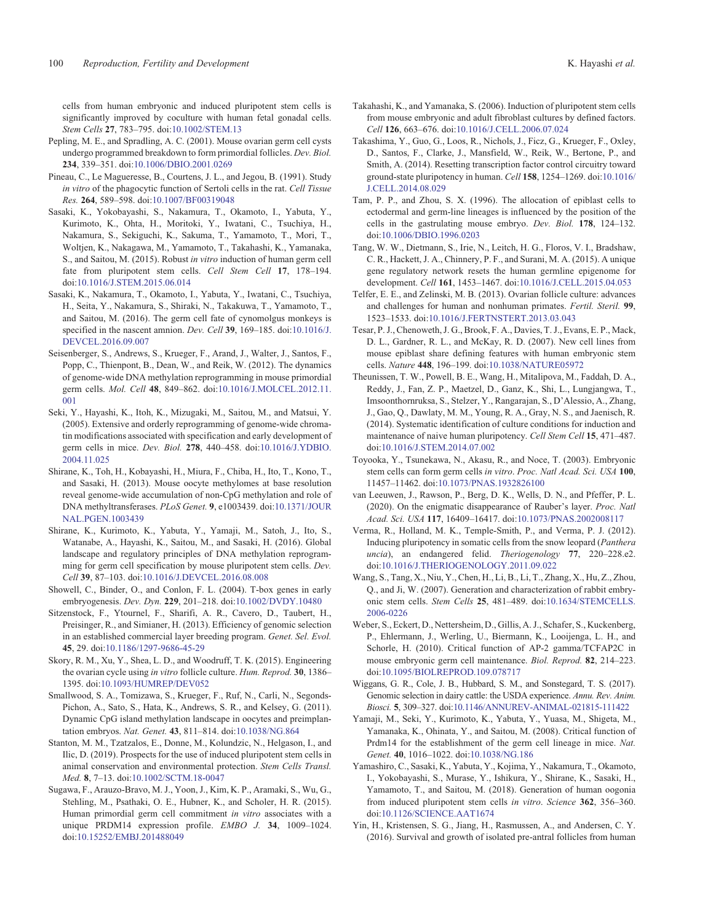cells from human embryonic and induced pluripotent stem cells is significantly improved by coculture with human fetal gonadal cells. *Stem Cells* **27**, 783–795. doi:10.1002/STEM.13

- Pepling, M. E., and Spradling, A. C. (2001). Mouse ovarian germ cell cysts undergo programmed breakdown to form primordial follicles. *Dev. Biol.* **234**, 339–351. doi:10.1006/DBIO.2001.0269
- Pineau, C., Le Magueresse, B., Courtens, J. L., and Jegou, B. (1991). Study *in vitro* of the phagocytic function of Sertoli cells in the rat. *Cell Tissue Res.* **264**, 589–598. doi:10.1007/BF00319048
- Sasaki, K., Yokobayashi, S., Nakamura, T., Okamoto, I., Yabuta, Y., Kurimoto, K., Ohta, H., Moritoki, Y., Iwatani, C., Tsuchiya, H., Nakamura, S., Sekiguchi, K., Sakuma, T., Yamamoto, T., Mori, T., Woltjen, K., Nakagawa, M., Yamamoto, T., Takahashi, K., Yamanaka, S., and Saitou, M. (2015). Robust *in vitro* induction of human germ cell fate from pluripotent stem cells. *Cell Stem Cell* **17**, 178–194. doi:10.1016/J.STEM.2015.06.014
- Sasaki, K., Nakamura, T., Okamoto, I., Yabuta, Y., Iwatani, C., Tsuchiya, H., Seita, Y., Nakamura, S., Shiraki, N., Takakuwa, T., Yamamoto, T., and Saitou, M. (2016). The germ cell fate of cynomolgus monkeys is specified in the nascent amnion. *Dev. Cell* **39**, 169–185. doi:10.1016/J. DEVCEL.2016.09.007
- Seisenberger, S., Andrews, S., Krueger, F., Arand, J., Walter, J., Santos, F., Popp, C., Thienpont, B., Dean, W., and Reik, W. (2012). The dynamics of genome-wide DNA methylation reprogramming in mouse primordial germ cells. *Mol. Cell* **48**, 849–862. doi:10.1016/J.MOLCEL.2012.11. 001
- Seki, Y., Hayashi, K., Itoh, K., Mizugaki, M., Saitou, M., and Matsui, Y. (2005). Extensive and orderly reprogramming of genome-wide chromatin modifications associated with specification and early development of germ cells in mice. *Dev. Biol.* **278**, 440–458. doi:10.1016/J.YDBIO. 2004.11.025
- Shirane, K., Toh, H., Kobayashi, H., Miura, F., Chiba, H., Ito, T., Kono, T., and Sasaki, H. (2013). Mouse oocyte methylomes at base resolution reveal genome-wide accumulation of non-CpG methylation and role of DNA methyltransferases. *PLoS Genet.* **9**, e1003439. doi:10.1371/JOUR NAL.PGEN.1003439
- Shirane, K., Kurimoto, K., Yabuta, Y., Yamaji, M., Satoh, J., Ito, S., Watanabe, A., Hayashi, K., Saitou, M., and Sasaki, H. (2016). Global landscape and regulatory principles of DNA methylation reprogramming for germ cell specification by mouse pluripotent stem cells. *Dev. Cell* **39**, 87–103. doi:10.1016/J.DEVCEL.2016.08.008
- Showell, C., Binder, O., and Conlon, F. L. (2004). T-box genes in early embryogenesis. *Dev. Dyn.* **229**, 201–218. doi:10.1002/DVDY.10480
- Sitzenstock, F., Ytournel, F., Sharifi, A. R., Cavero, D., Taubert, H., Preisinger, R., and Simianer, H. (2013). Efficiency of genomic selection in an established commercial layer breeding program. *Genet. Sel. Evol.* **45**, 29. doi:10.1186/1297-9686-45-29
- Skory, R. M., Xu, Y., Shea, L. D., and Woodruff, T. K. (2015). Engineering the ovarian cycle using *in vitro* follicle culture. *Hum. Reprod.* **30**, 1386– 1395. doi:10.1093/HUMREP/DEV052
- Smallwood, S. A., Tomizawa, S., Krueger, F., Ruf, N., Carli, N., Segonds-Pichon, A., Sato, S., Hata, K., Andrews, S. R., and Kelsey, G. (2011). Dynamic CpG island methylation landscape in oocytes and preimplantation embryos. *Nat. Genet.* **43**, 811–814. doi:10.1038/NG.864
- Stanton, M. M., Tzatzalos, E., Donne, M., Kolundzic, N., Helgason, I., and Ilic, D. (2019). Prospects for the use of induced pluripotent stem cells in animal conservation and environmental protection. *Stem Cells Transl. Med.* **8**, 7–13. doi:10.1002/SCTM.18-0047
- Sugawa, F., Arauzo-Bravo, M. J., Yoon, J., Kim, K. P., Aramaki, S., Wu, G., Stehling, M., Psathaki, O. E., Hubner, K., and Scholer, H. R. (2015). Human primordial germ cell commitment *in vitro* associates with a unique PRDM14 expression profile. *EMBO J.* **34**, 1009–1024. doi:10.15252/EMBJ.201488049
- Takahashi, K., and Yamanaka, S. (2006). Induction of pluripotent stem cells from mouse embryonic and adult fibroblast cultures by defined factors. *Cell* **126**, 663–676. doi:10.1016/J.CELL.2006.07.024
- Takashima, Y., Guo, G., Loos, R., Nichols, J., Ficz, G., Krueger, F., Oxley, D., Santos, F., Clarke, J., Mansfield, W., Reik, W., Bertone, P., and Smith, A. (2014). Resetting transcription factor control circuitry toward ground-state pluripotency in human. *Cell* **158**, 1254–1269. doi:10.1016/ J.CELL.2014.08.029
- Tam, P. P., and Zhou, S. X. (1996). The allocation of epiblast cells to ectodermal and germ-line lineages is influenced by the position of the cells in the gastrulating mouse embryo. *Dev. Biol.* **178**, 124–132. doi:10.1006/DBIO.1996.0203
- Tang, W. W., Dietmann, S., Irie, N., Leitch, H. G., Floros, V. I., Bradshaw, C. R., Hackett, J. A., Chinnery, P. F., and Surani, M. A. (2015). A unique gene regulatory network resets the human germline epigenome for development. *Cell* **161**, 1453–1467. doi:10.1016/J.CELL.2015.04.053
- Telfer, E. E., and Zelinski, M. B. (2013). Ovarian follicle culture: advances and challenges for human and nonhuman primates. *Fertil. Steril.* **99**, 1523–1533. doi:10.1016/J.FERTNSTERT.2013.03.043
- Tesar, P. J., Chenoweth, J. G., Brook, F. A., Davies, T. J., Evans, E. P., Mack, D. L., Gardner, R. L., and McKay, R. D. (2007). New cell lines from mouse epiblast share defining features with human embryonic stem cells. *Nature* **448**, 196–199. doi:10.1038/NATURE05972
- Theunissen, T. W., Powell, B. E., Wang, H., Mitalipova, M., Faddah, D. A., Reddy, J., Fan, Z. P., Maetzel, D., Ganz, K., Shi, L., Lungjangwa, T., Imsoonthornruksa, S., Stelzer, Y., Rangarajan, S., D'Alessio, A., Zhang, J., Gao, Q., Dawlaty, M. M., Young, R. A., Gray, N. S., and Jaenisch, R. (2014). Systematic identification of culture conditions for induction and maintenance of naive human pluripotency. *Cell Stem Cell* **15**, 471–487. doi:10.1016/J.STEM.2014.07.002
- Toyooka, Y., Tsunekawa, N., Akasu, R., and Noce, T. (2003). Embryonic stem cells can form germ cells *in vitro*. *Proc. Natl Acad. Sci. USA* **100**, 11457–11462. doi:10.1073/PNAS.1932826100
- van Leeuwen, J., Rawson, P., Berg, D. K., Wells, D. N., and Pfeffer, P. L. (2020). On the enigmatic disappearance of Rauber's layer. *Proc. Natl Acad. Sci. USA* **117**, 16409–16417. doi:10.1073/PNAS.2002008117
- Verma, R., Holland, M. K., Temple-Smith, P., and Verma, P. J. (2012). Inducing pluripotency in somatic cells from the snow leopard (*Panthera uncia*), an endangered felid. *Theriogenology* **77**, 220–228.e2. doi:10.1016/J.THERIOGENOLOGY.2011.09.022
- Wang, S., Tang, X., Niu, Y., Chen, H., Li, B., Li, T., Zhang, X., Hu, Z., Zhou, Q., and Ji, W. (2007). Generation and characterization of rabbit embryonic stem cells. *Stem Cells* **25**, 481–489. doi:10.1634/STEMCELLS. 2006-0226
- Weber, S., Eckert, D., Nettersheim, D., Gillis, A. J., Schafer, S., Kuckenberg, P., Ehlermann, J., Werling, U., Biermann, K., Looijenga, L. H., and Schorle, H. (2010). Critical function of AP-2 gamma/TCFAP2C in mouse embryonic germ cell maintenance. *Biol. Reprod.* **82**, 214–223. doi:10.1095/BIOLREPROD.109.078717
- Wiggans, G. R., Cole, J. B., Hubbard, S. M., and Sonstegard, T. S. (2017). Genomic selection in dairy cattle: the USDA experience. *Annu. Rev. Anim. Biosci.* **5**, 309–327. doi:10.1146/ANNUREV-ANIMAL-021815-111422
- Yamaji, M., Seki, Y., Kurimoto, K., Yabuta, Y., Yuasa, M., Shigeta, M., Yamanaka, K., Ohinata, Y., and Saitou, M. (2008). Critical function of Prdm14 for the establishment of the germ cell lineage in mice. *Nat. Genet.* **40**, 1016–1022. doi:10.1038/NG.186
- Yamashiro, C., Sasaki, K., Yabuta, Y., Kojima, Y., Nakamura, T., Okamoto, I., Yokobayashi, S., Murase, Y., Ishikura, Y., Shirane, K., Sasaki, H., Yamamoto, T., and Saitou, M. (2018). Generation of human oogonia from induced pluripotent stem cells *in vitro*. *Science* **362**, 356–360. doi:10.1126/SCIENCE.AAT1674
- Yin, H., Kristensen, S. G., Jiang, H., Rasmussen, A., and Andersen, C. Y. (2016). Survival and growth of isolated pre-antral follicles from human